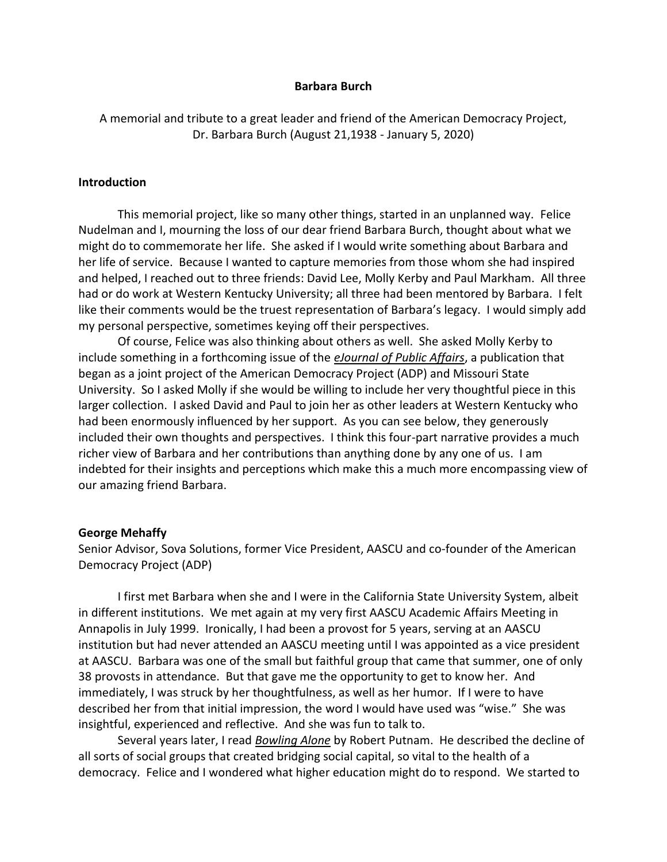### **Barbara Burch**

A memorial and tribute to a great leader and friend of the American Democracy Project, Dr. Barbara Burch (August 21,1938 - January 5, 2020)

### **Introduction**

This memorial project, like so many other things, started in an unplanned way. Felice Nudelman and I, mourning the loss of our dear friend Barbara Burch, thought about what we might do to commemorate her life. She asked if I would write something about Barbara and her life of service. Because I wanted to capture memories from those whom she had inspired and helped, I reached out to three friends: David Lee, Molly Kerby and Paul Markham. All three had or do work at Western Kentucky University; all three had been mentored by Barbara. I felt like their comments would be the truest representation of Barbara's legacy. I would simply add my personal perspective, sometimes keying off their perspectives.

Of course, Felice was also thinking about others as well. She asked Molly Kerby to include something in a forthcoming issue of the *eJournal of Public Affairs*, a publication that began as a joint project of the American Democracy Project (ADP) and Missouri State University. So I asked Molly if she would be willing to include her very thoughtful piece in this larger collection. I asked David and Paul to join her as other leaders at Western Kentucky who had been enormously influenced by her support. As you can see below, they generously included their own thoughts and perspectives. I think this four-part narrative provides a much richer view of Barbara and her contributions than anything done by any one of us. I am indebted for their insights and perceptions which make this a much more encompassing view of our amazing friend Barbara.

#### **George Mehaffy**

Senior Advisor, Sova Solutions, former Vice President, AASCU and co-founder of the American Democracy Project (ADP)

I first met Barbara when she and I were in the California State University System, albeit in different institutions. We met again at my very first AASCU Academic Affairs Meeting in Annapolis in July 1999. Ironically, I had been a provost for 5 years, serving at an AASCU institution but had never attended an AASCU meeting until I was appointed as a vice president at AASCU. Barbara was one of the small but faithful group that came that summer, one of only 38 provosts in attendance. But that gave me the opportunity to get to know her. And immediately, I was struck by her thoughtfulness, as well as her humor. If I were to have described her from that initial impression, the word I would have used was "wise." She was insightful, experienced and reflective. And she was fun to talk to.

Several years later, I read *Bowling Alone* by Robert Putnam. He described the decline of all sorts of social groups that created bridging social capital, so vital to the health of a democracy. Felice and I wondered what higher education might do to respond. We started to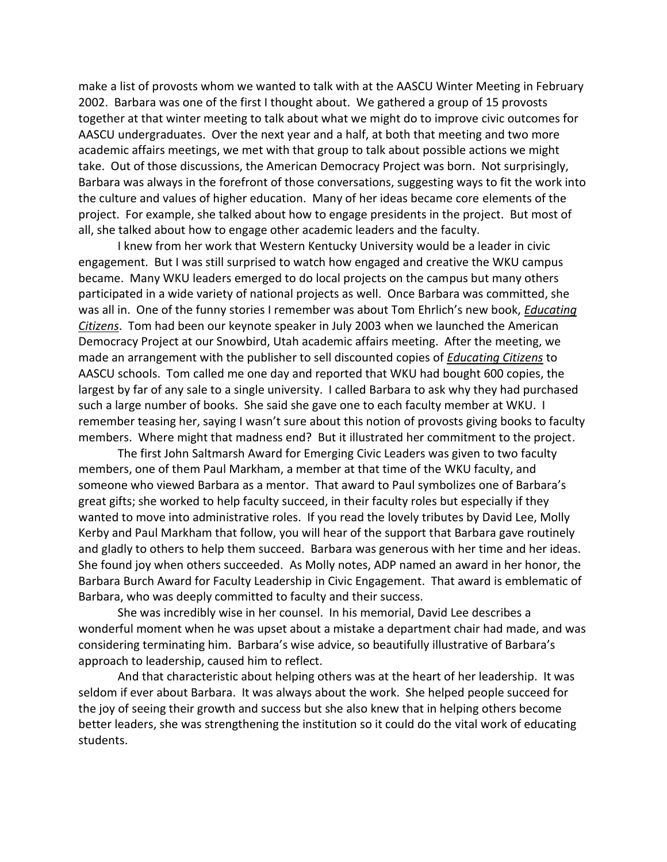make a list of provosts whom we wanted to talk with at the AASCU Winter Meeting in February 2002. Barbara was one of the first I thought about. We gathered a group of 15 provosts together at that winter meeting to talk about what we might do to improve civic outcomes for AASCU undergraduates. Over the next year and a half, at both that meeting and two more academic affairs meetings, we met with that group to talk about possible actions we might take. Out of those discussions, the American Democracy Project was born. Not surprisingly, Barbara was always in the forefront of those conversations, suggesting ways to fit the work into the culture and values of higher education. Many of her ideas became core elements of the project. For example, she talked about how to engage presidents in the project. But most of all, she talked about how to engage other academic leaders and the faculty.

I knew from her work that Western Kentucky University would be a leader in civic engagement. But I was still surprised to watch how engaged and creative the WKU campus became. Many WKU leaders emerged to do local projects on the campus but many others participated in a wide variety of national projects as well. Once Barbara was committed, she was all in. One of the funny stories I remember was about Tom Ehrlich's new book, *Educating Citizens*. Tom had been our keynote speaker in July 2003 when we launched the American Democracy Project at our Snowbird, Utah academic affairs meeting. After the meeting, we made an arrangement with the publisher to sell discounted copies of *Educating Citizens* to AASCU schools. Tom called me one day and reported that WKU had bought 600 copies, the largest by far of any sale to a single university. I called Barbara to ask why they had purchased such a large number of books. She said she gave one to each faculty member at WKU. I remember teasing her, saying I wasn't sure about this notion of provosts giving books to faculty members. Where might that madness end? But it illustrated her commitment to the project.

The first John Saltmarsh Award for Emerging Civic Leaders was given to two faculty members, one of them Paul Markham, a member at that time of the WKU faculty, and someone who viewed Barbara as a mentor. That award to Paul symbolizes one of Barbara's great gifts; she worked to help faculty succeed, in their faculty roles but especially if they wanted to move into administrative roles. If you read the lovely tributes by David Lee, Molly Kerby and Paul Markham that follow, you will hear of the support that Barbara gave routinely and gladly to others to help them succeed. Barbara was generous with her time and her ideas. She found joy when others succeeded. As Molly notes, ADP named an award in her honor, the Barbara Burch Award for Faculty Leadership in Civic Engagement. That award is emblematic of Barbara, who was deeply committed to faculty and their success.

She was incredibly wise in her counsel. In his memorial, David Lee describes a wonderful moment when he was upset about a mistake a department chair had made, and was considering terminating him. Barbara's wise advice, so beautifully illustrative of Barbara's approach to leadership, caused him to reflect.

And that characteristic about helping others was at the heart of her leadership. It was seldom if ever about Barbara. It was always about the work. She helped people succeed for the joy of seeing their growth and success but she also knew that in helping others become better leaders, she was strengthening the institution so it could do the vital work of educating students.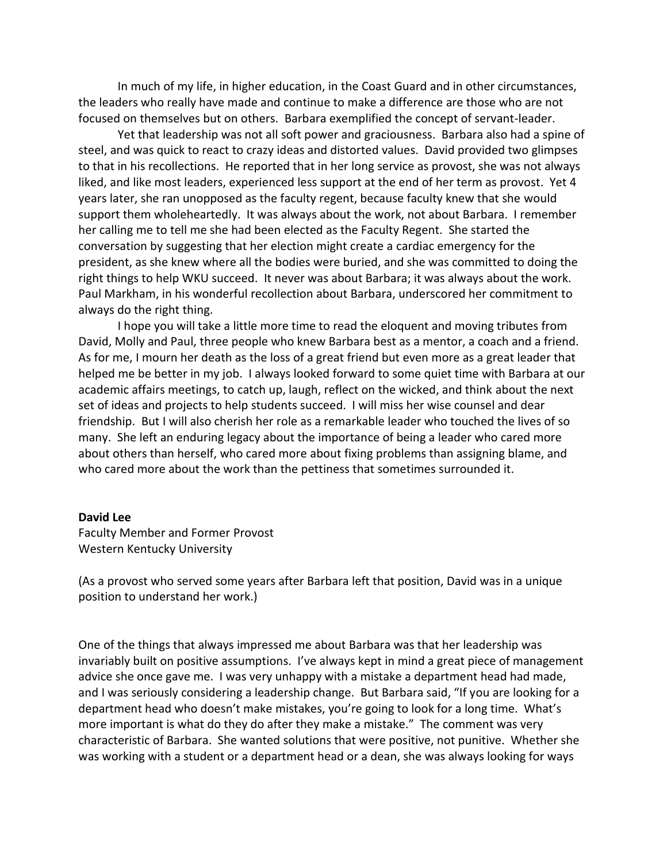In much of my life, in higher education, in the Coast Guard and in other circumstances, the leaders who really have made and continue to make a difference are those who are not focused on themselves but on others. Barbara exemplified the concept of servant-leader.

Yet that leadership was not all soft power and graciousness. Barbara also had a spine of steel, and was quick to react to crazy ideas and distorted values. David provided two glimpses to that in his recollections. He reported that in her long service as provost, she was not always liked, and like most leaders, experienced less support at the end of her term as provost. Yet 4 years later, she ran unopposed as the faculty regent, because faculty knew that she would support them wholeheartedly. It was always about the work, not about Barbara. I remember her calling me to tell me she had been elected as the Faculty Regent. She started the conversation by suggesting that her election might create a cardiac emergency for the president, as she knew where all the bodies were buried, and she was committed to doing the right things to help WKU succeed. It never was about Barbara; it was always about the work. Paul Markham, in his wonderful recollection about Barbara, underscored her commitment to always do the right thing.

I hope you will take a little more time to read the eloquent and moving tributes from David, Molly and Paul, three people who knew Barbara best as a mentor, a coach and a friend. As for me, I mourn her death as the loss of a great friend but even more as a great leader that helped me be better in my job. I always looked forward to some quiet time with Barbara at our academic affairs meetings, to catch up, laugh, reflect on the wicked, and think about the next set of ideas and projects to help students succeed. I will miss her wise counsel and dear friendship. But I will also cherish her role as a remarkable leader who touched the lives of so many. She left an enduring legacy about the importance of being a leader who cared more about others than herself, who cared more about fixing problems than assigning blame, and who cared more about the work than the pettiness that sometimes surrounded it.

### **David Lee**

Faculty Member and Former Provost Western Kentucky University

(As a provost who served some years after Barbara left that position, David was in a unique position to understand her work.)

One of the things that always impressed me about Barbara was that her leadership was invariably built on positive assumptions. I've always kept in mind a great piece of management advice she once gave me. I was very unhappy with a mistake a department head had made, and I was seriously considering a leadership change. But Barbara said, "If you are looking for a department head who doesn't make mistakes, you're going to look for a long time. What's more important is what do they do after they make a mistake." The comment was very characteristic of Barbara. She wanted solutions that were positive, not punitive. Whether she was working with a student or a department head or a dean, she was always looking for ways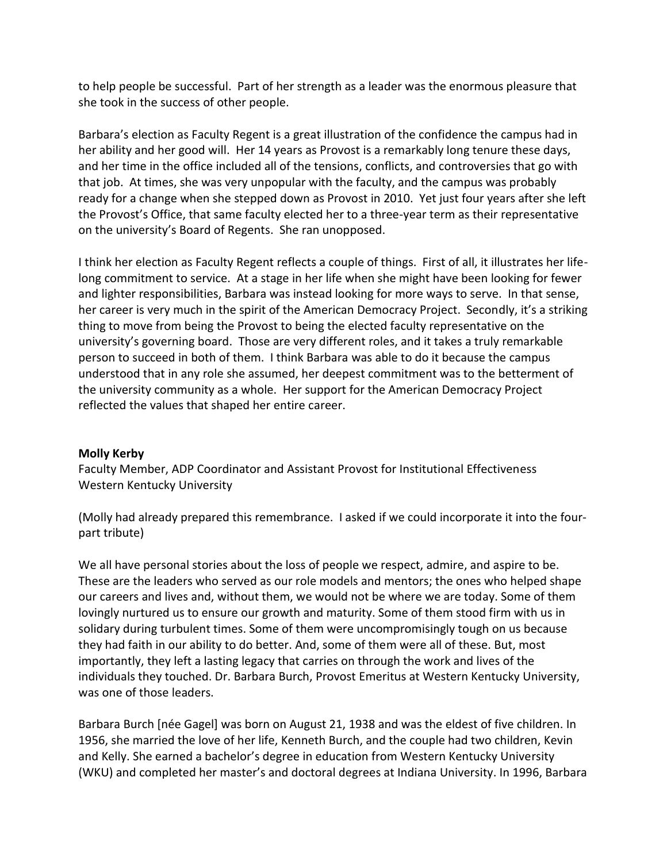to help people be successful. Part of her strength as a leader was the enormous pleasure that she took in the success of other people.

Barbara's election as Faculty Regent is a great illustration of the confidence the campus had in her ability and her good will. Her 14 years as Provost is a remarkably long tenure these days, and her time in the office included all of the tensions, conflicts, and controversies that go with that job. At times, she was very unpopular with the faculty, and the campus was probably ready for a change when she stepped down as Provost in 2010. Yet just four years after she left the Provost's Office, that same faculty elected her to a three-year term as their representative on the university's Board of Regents. She ran unopposed.

I think her election as Faculty Regent reflects a couple of things. First of all, it illustrates her lifelong commitment to service. At a stage in her life when she might have been looking for fewer and lighter responsibilities, Barbara was instead looking for more ways to serve. In that sense, her career is very much in the spirit of the American Democracy Project. Secondly, it's a striking thing to move from being the Provost to being the elected faculty representative on the university's governing board. Those are very different roles, and it takes a truly remarkable person to succeed in both of them. I think Barbara was able to do it because the campus understood that in any role she assumed, her deepest commitment was to the betterment of the university community as a whole. Her support for the American Democracy Project reflected the values that shaped her entire career.

# **Molly Kerby**

Faculty Member, ADP Coordinator and Assistant Provost for Institutional Effectiveness Western Kentucky University

(Molly had already prepared this remembrance. I asked if we could incorporate it into the fourpart tribute)

We all have personal stories about the loss of people we respect, admire, and aspire to be. These are the leaders who served as our role models and mentors; the ones who helped shape our careers and lives and, without them, we would not be where we are today. Some of them lovingly nurtured us to ensure our growth and maturity. Some of them stood firm with us in solidary during turbulent times. Some of them were uncompromisingly tough on us because they had faith in our ability to do better. And, some of them were all of these. But, most importantly, they left a lasting legacy that carries on through the work and lives of the individuals they touched. Dr. Barbara Burch, Provost Emeritus at Western Kentucky University, was one of those leaders.

Barbara Burch [née Gagel] was born on August 21, 1938 and was the eldest of five children. In 1956, she married the love of her life, Kenneth Burch, and the couple had two children, Kevin and Kelly. She earned a bachelor's degree in education from Western Kentucky University (WKU) and completed her master's and doctoral degrees at Indiana University. In 1996, Barbara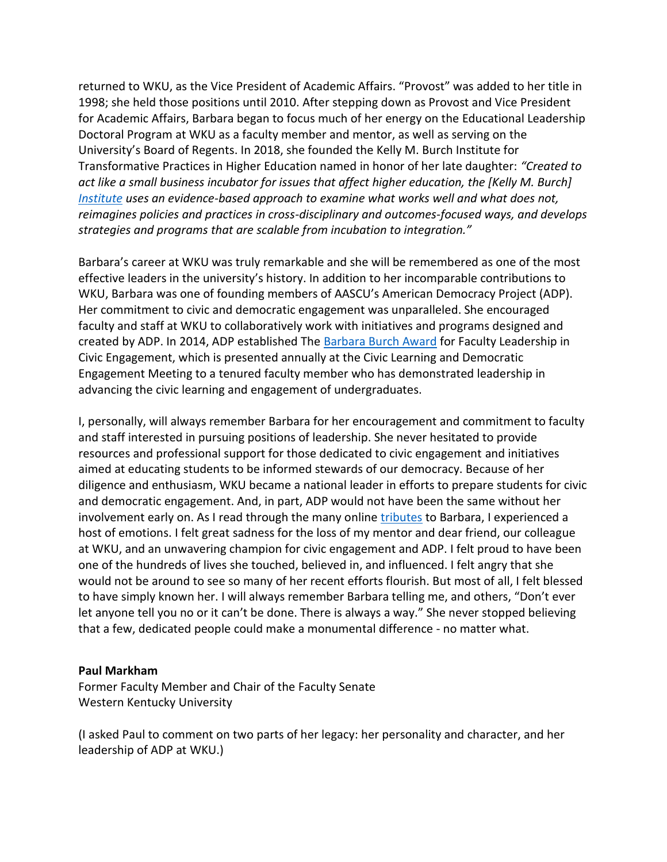returned to WKU, as the Vice President of Academic Affairs. "Provost" was added to her title in 1998; she held those positions until 2010. After stepping down as Provost and Vice President for Academic Affairs, Barbara began to focus much of her energy on the Educational Leadership Doctoral Program at WKU as a faculty member and mentor, as well as serving on the University's Board of Regents. In 2018, she founded the Kelly M. Burch Institute for Transformative Practices in Higher Education named in honor of her late daughter: *"Created to act like a small business incubator for issues that affect higher education, the [Kelly M. Burch] [Institute](http://alumni.wku.edu/s/808/landing.aspx?sid=808&gid=1&pgid=4155) uses an evidence-based approach to examine what works well and what does not, reimagines policies and practices in cross-disciplinary and outcomes-focused ways, and develops strategies and programs that are scalable from incubation to integration."* 

Barbara's career at WKU was truly remarkable and she will be remembered as one of the most effective leaders in the university's history. In addition to her incomparable contributions to WKU, Barbara was one of founding members of AASCU's American Democracy Project (ADP). Her commitment to civic and democratic engagement was unparalleled. She encouraged faculty and staff at WKU to collaboratively work with initiatives and programs designed and created by ADP. In 2014, ADP established The [Barbara Burch Award](https://www.aascu.org/programs/adp/awards/BarbaraBurch/) for Faculty Leadership in Civic Engagement, which is presented annually at the Civic Learning and Democratic Engagement Meeting to a tenured faculty member who has demonstrated leadership in advancing the civic learning and engagement of undergraduates.

I, personally, will always remember Barbara for her encouragement and commitment to faculty and staff interested in pursuing positions of leadership. She never hesitated to provide resources and professional support for those dedicated to civic engagement and initiatives aimed at educating students to be informed stewards of our democracy. Because of her diligence and enthusiasm, WKU became a national leader in efforts to prepare students for civic and democratic engagement. And, in part, ADP would not have been the same without her involvement early on. As I read through the many online [tributes](https://www.wku.edu/burch/) to Barbara, I experienced a host of emotions. I felt great sadness for the loss of my mentor and dear friend, our colleague at WKU, and an unwavering champion for civic engagement and ADP. I felt proud to have been one of the hundreds of lives she touched, believed in, and influenced. I felt angry that she would not be around to see so many of her recent efforts flourish. But most of all, I felt blessed to have simply known her. I will always remember Barbara telling me, and others, "Don't ever let anyone tell you no or it can't be done. There is always a way." She never stopped believing that a few, dedicated people could make a monumental difference - no matter what.

# **Paul Markham**

Former Faculty Member and Chair of the Faculty Senate Western Kentucky University

(I asked Paul to comment on two parts of her legacy: her personality and character, and her leadership of ADP at WKU.)